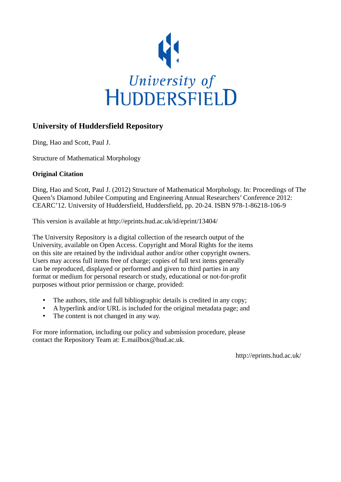

# **University of Huddersfield Repository**

Ding, Hao and Scott, Paul J.

Structure of Mathematical Morphology

## **Original Citation**

Ding, Hao and Scott, Paul J. (2012) Structure of Mathematical Morphology. In: Proceedings of The Queen's Diamond Jubilee Computing and Engineering Annual Researchers' Conference 2012: CEARC'12. University of Huddersfield, Huddersfield, pp. 20-24. ISBN 978-1-86218-106-9

This version is available at http://eprints.hud.ac.uk/id/eprint/13404/

The University Repository is a digital collection of the research output of the University, available on Open Access. Copyright and Moral Rights for the items on this site are retained by the individual author and/or other copyright owners. Users may access full items free of charge; copies of full text items generally can be reproduced, displayed or performed and given to third parties in any format or medium for personal research or study, educational or not-for-profit purposes without prior permission or charge, provided:

- The authors, title and full bibliographic details is credited in any copy;
- A hyperlink and/or URL is included for the original metadata page; and
- The content is not changed in any way.

For more information, including our policy and submission procedure, please contact the Repository Team at: E.mailbox@hud.ac.uk.

http://eprints.hud.ac.uk/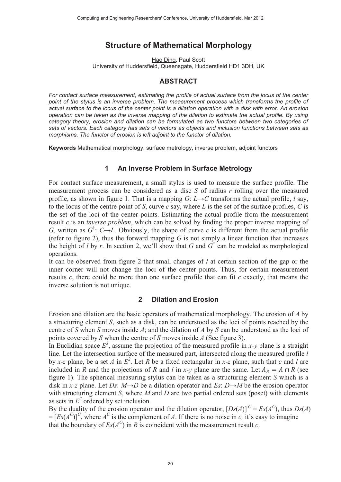# **Structure of Mathematical Morphology**

Hao Ding, Paul Scott University of Huddersfield, Queensgate, Huddersfield HD1 3DH, UK

### **ABSTRACT**

*For contact surface measurement, estimating the profile of actual surface from the locus of the center point of the stylus is an inverse problem. The measurement process which transforms the profile of actual surface to the locus of the center point is a dilation operation with a disk with error. An erosion operation can be taken as the inverse mapping of the dilation to estimate the actual profile. By using category theory, erosion and dilation can be formulated as two functors between two categories of sets of vectors. Each category has sets of vectors as objects and inclusion functions between sets as morphisms. The functor of erosion is left adjoint to the functor of dilation.* 

Keywords Mathematical morphology, surface metrology, inverse problem, adjoint functors

#### **1 An Inverse Problem in Surface Metrology**

For contact surface measurement, a small stylus is used to measure the surface profile. The measurement process can be considered as a disc *S* of radius *r* rolling over the measured profile, as shown in figure 1. That is a mapping  $G: L \rightarrow C$  transforms the actual profile, *l* say, to the locus of the centre point of *S*, curve *c* say, where *L* is the set of the surface profiles, *C* is the set of the loci of the center points. Estimating the actual profile from the measurement result *c* is an *inverse problem*, which can be solved by finding the proper inverse mapping of *G*, written as  $G^{\dagger}$ :  $C \rightarrow L$ . Obviously, the shape of curve *c* is different from the actual profile (refer to figure 2), thus the forward mapping *G* is not simply a linear function that increases the height of *l* by *r*. In section 2, we'll show that *G* and  $G^{\dagger}$  can be modeled as morphological operations.

It can be observed from figure 2 that small changes of *l* at certain section of the gap or the inner corner will not change the loci of the center points. Thus, for certain measurement results *c*, there could be more than one surface profile that can fit *c* exactly, that means the inverse solution is not unique.

#### **2 Dilation and Erosion**

Erosion and dilation are the basic operators of mathematical morphology. The erosion of *A* by a structuring element *S*, such as a disk, can be understood as the loci of points reached by the centre of *S* when *S* moves inside *A*; and the dilation of *A* by *S* can be understood as the loci of points covered by *S* when the centre of *S* moves inside *A* (See figure 3).

In Euclidian space  $E^3$ , assume the projection of the measured profile in *x-y* plane is a straight line. Let the intersection surface of the measured part, intersected along the measured profile *l* by *x*-z plane, be a set *A* in  $E^2$ . Let *R* be a fixed rectangular in *x*-z plane, such that *c* and *l* are included in *R* and the projections of *R* and *l* in *x*-*y* plane are the same. Let  $A_R = A \cap R$  (see figure 1). The spherical measuring stylus can be taken as a structuring element *S* which is a disk in *x-z* plane. Let *Ds*: *M→D* be a dilation operator and *Es*: *D→M* be the erosion operator with structuring element *S*, where *M* and *D* are two partial ordered sets (poset) with elements as sets in  $E^2$  ordered by set inclusion.

By the duality of the erosion operator and the dilation operator,  $[Ds(A)]^C = Es(A^C)$ , thus  $Ds(A)$  $=[E_s(A^C)]^C$ , where  $A^C$  is the complement of *A*. If there is no noise in *c*, it's easy to imagine that the boundary of  $Es(A^C)$  in *R* is coincident with the measurement result *c*.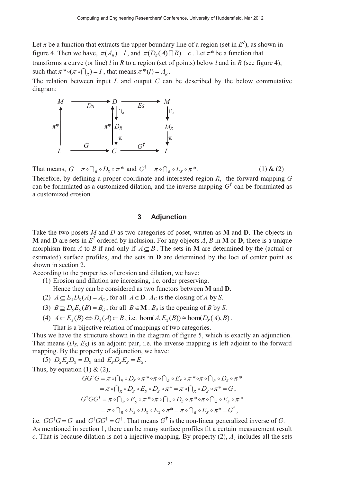Let  $\pi$  be a function that extracts the upper boundary line of a region (set in  $E^2$ ), as shown in figure 4. Then we have,  $\pi(A_R) = l$ , and  $\pi(D_S(A) \cap R) = c$ . Let  $\pi^*$  be a function that transforms a curve (or line) *l* in *R* to a region (set of points) below *l* and in *R* (see figure 4), such that  $\pi^* \circ (\pi \circ \bigcap_R) = I$ , that means  $\pi^* (I) = A_R$ .

The relation between input *L* and output *C* can be described by the below commutative diagram:



That means,  $G = \pi \circ \bigcap_R \circ D_S \circ \pi^*$  and  $G^{\dagger} = \pi \circ \bigcap_R \circ E_S \circ \pi^*$ . (1) & (2) Therefore, by defining a proper coordinate and interested region *R*, the forward mapping *G* can be formulated as a customized dilation, and the inverse mapping  $G^{\dagger}$  can be formulated as a customized erosion.

#### **3 Adjunction**

Take the two posets *M* and *D* as two categories of poset, written as **M** and **D**. The objects in **M** and **D** are sets in  $E^2$  ordered by inclusion. For any objects *A*, *B* in **M** or **D**, there is a unique morphism from *A* to *B* if and only if  $A \subseteq B$ . The sets in **M** are determined by the (actual or estimated) surface profiles, and the sets in **D** are determined by the loci of center point as shown in section 2.

According to the properties of erosion and dilation, we have:

(1) Erosion and dilation are increasing, i.e. order preserving.

- Hence they can be considered as two functors between **M** and **D**.
- (2)  $A \subseteq E_S D_S (A) = A_C$ , for all  $A \in \mathbf{D}$ .  $A_C$  is the closing of *A* by *S*.
- (3)  $B \supseteq D_s E_s(B) = B_o$ , for all  $B \in \mathbf{M}$ .  $B_o$  is the opening of *B* by *S*.
- (4)  $A \subseteq E_s(B) \Leftrightarrow D_s(A) \subseteq B$ , i.e.  $\text{hom}(A, E_s(B)) \cong \text{hom}(D_s(A), B)$ .

That is a bijective relation of mappings of two categories.

Thus we have the structure shown in the diagram of figure 5, which is exactly an adjunction. That means  $(D_S, E_S)$  is an adjoint pair, i.e. the inverse mapping is left adjoint to the forward mapping. By the property of adjunction, we have:

(5)  $D_S E_S D_S = D_S$  and  $E_S D_S E_S = E_S$ .

Thus, by equation (1) 
$$
\&
$$
 (2),

$$
GG^{\dagger}G = \pi \circ \bigcap_{R} \circ D_{S} \circ \pi^{*} \circ \pi \circ \bigcap_{R} \circ E_{S} \circ \pi^{*} \circ \pi \circ \bigcap_{R} \circ D_{S} \circ \pi^{*}
$$
  

$$
= \pi \circ \bigcap_{R} \circ D_{S} \circ E_{S} \circ D_{S} \circ \pi^{*} = \pi \circ \bigcap_{R} \circ D_{S} \circ \pi^{*} = G,
$$
  

$$
G^{\dagger}GG^{\dagger} = \pi \circ \bigcap_{R} \circ E_{S} \circ \pi^{*} \circ \pi \circ \bigcap_{R} \circ D_{S} \circ \pi^{*} \circ \pi \circ \bigcap_{R} \circ E_{S} \circ \pi^{*}
$$
  

$$
= \pi \circ \bigcap_{R} \circ E_{S} \circ D_{S} \circ E_{S} \circ \pi^{*} = \pi \circ \bigcap_{R} \circ E_{S} \circ \pi^{*} = G^{\dagger},
$$

i.e.  $GG^{\dagger}G = G$  and  $G^{\dagger}GG^{\dagger} = G^{\dagger}$ . That means  $G^{\dagger}$  is the non-linear generalized inverse of *G*. As mentioned in section 1, there can be many surface profiles fit a certain measurement result *c*. That is because dilation is not a injective mapping. By property  $(2)$ ,  $A_c$  includes all the sets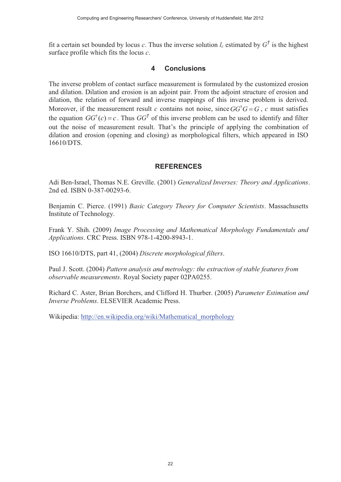fit a certain set bounded by locus *c*. Thus the inverse solution  $l_c$  estimated by  $G^{\dagger}$  is the highest surface profile which fits the locus *c*.

### **4 Conclusions**

The inverse problem of contact surface measurement is formulated by the customized erosion and dilation. Dilation and erosion is an adjoint pair. From the adjoint structure of erosion and dilation, the relation of forward and inverse mappings of this inverse problem is derived. Moreover, if the measurement result *c* contains not noise, since  $GG^{\dagger}G = G$ , *c* must satisfies the equation  $GG^{\dagger}(c) = c$ . Thus  $GG^{\dagger}$  of this inverse problem can be used to identify and filter out the noise of measurement result. That's the principle of applying the combination of dilation and erosion (opening and closing) as morphological filters, which appeared in ISO 16610/DTS.

## **REFERENCES**

Adi Ben-Israel, Thomas N.E. Greville. (2001) *Generalized Inverses: Theory and Applications*. 2nd ed. ISBN 0-387-00293-6.

Benjamin C. Pierce. (1991) *Basic Category Theory for Computer Scientists*. Massachusetts Institute of Technology.

Frank Y. Shih. (2009) *Image Processing and Mathematical Morphology Fundamentals and Applications*. CRC Press. ISBN 978-1-4200-8943-1.

ISO 16610/DTS, part 41, (2004) *Discrete morphological filters*.

Paul J. Scott. (2004) *Pattern analysis and metrology: the extraction of stable features from observable measurements*. Royal Society paper 02PA0255.

Richard C. Aster, Brian Borchers, and Clifford H. Thurber. (2005) *Parameter Estimation and Inverse Problems*. ELSEVIER Academic Press.

Wikipedia: http://en.wikipedia.org/wiki/Mathematical\_morphology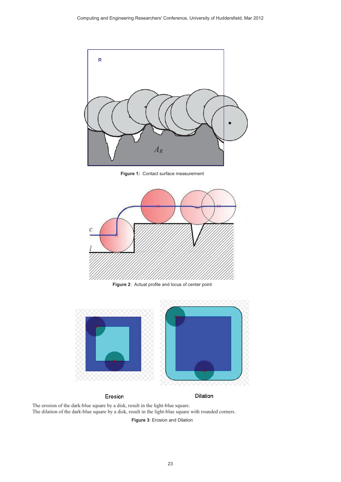

Figure 1: Contact surface measurement



**Figure 2:** Actual profile and locus of center point



#### Erosion

Dilation

The erosion of the dark-blue square by a disk, result in the light-blue square. The dilation of the dark-blue square by a disk, result in the light-blue square with rounded corners.

Figure 3: Erosion and Dilation